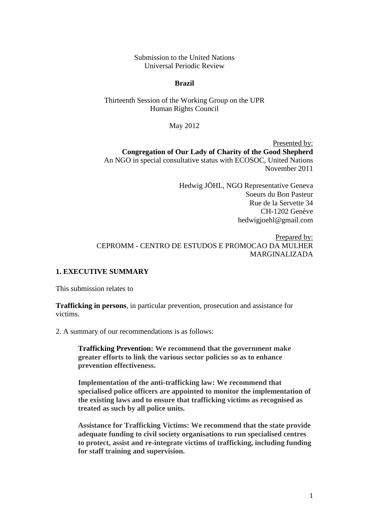Submission to the United Nations Universal Periodic Review

#### **Brazil**

Thirteenth Session of the Working Group on the UPR Human Rights Council

May 2012

Presented by: **Congregation of Our Lady of Charity of the Good Shepherd** An NGO in special consultative status with ECOSOC, United Nations November 2011

> Hedwig JÖHL, NGO Representative Geneva Soeurs du Bon Pasteur Rue de la Servette 34 CH-1202 Genève hedwigjoehl@gmail.com

Prepared by: CEPROMM - CENTRO DE ESTUDOS E PROMOCAO DA MULHER MARGINALIZADA

#### **1. EXECUTIVE SUMMARY**

This submission relates to

**Trafficking in persons**, in particular prevention, prosecution and assistance for victims.

2. A summary of our recommendations is as follows:

**Trafficking Prevention: We recommend that the government make greater efforts to link the various sector policies so as to enhance prevention effectiveness.**

**Implementation of the anti-trafficking law: We recommend that specialised police officers are appointed to monitor the implementation of the existing laws and to ensure that trafficking victims as recognised as treated as such by all police units.**

**Assistance for Trafficking Victims: We recommend that the state provide adequate funding to civil society organisations to run specialised centres to protect, assist and re-integrate victims of trafficking, including funding for staff training and supervision.**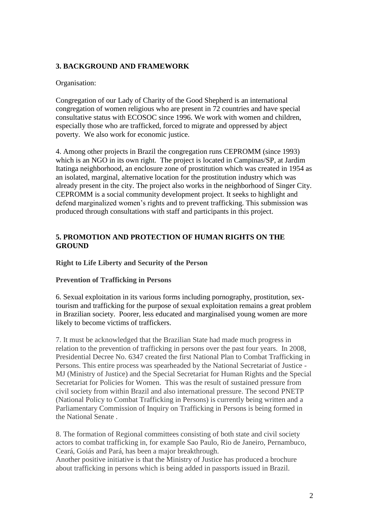### **3. BACKGROUND AND FRAMEWORK**

### Organisation:

Congregation of our Lady of Charity of the Good Shepherd is an international congregation of women religious who are present in 72 countries and have special consultative status with ECOSOC since 1996. We work with women and children, especially those who are trafficked, forced to migrate and oppressed by abject poverty. We also work for economic justice.

4. Among other projects in Brazil the congregation runs CEPROMM (since 1993) which is an NGO in its own right. The project is located in Campinas/SP, at Jardim Itatinga neighborhood, an enclosure zone of prostitution which was created in 1954 as an isolated, marginal, alternative location for the prostitution industry which was already present in the city. The project also works in the neighborhood of Singer City. CEPROMM is a social community development project. It seeks to highlight and defend marginalized women's rights and to prevent trafficking. This submission was produced through consultations with staff and participants in this project.

## **5. PROMOTION AND PROTECTION OF HUMAN RIGHTS ON THE GROUND**

**Right to Life Liberty and Security of the Person**

### **Prevention of Trafficking in Persons**

6. Sexual exploitation in its various forms including pornography, prostitution, sextourism and trafficking for the purpose of sexual exploitation remains a great problem in Brazilian society. Poorer, less educated and marginalised young women are more likely to become victims of traffickers.

7. It must be acknowledged that the Brazilian State had made much progress in relation to the prevention of trafficking in persons over the past four years. In 2008, Presidential Decree No. 6347 created the first National Plan to Combat Trafficking in Persons. This entire process was spearheaded by the National Secretariat of Justice - MJ (Ministry of Justice) and the Special Secretariat for Human Rights and the Special Secretariat for Policies for Women. This was the result of sustained pressure from civil society from within Brazil and also international pressure. The second PNETP (National Policy to Combat Trafficking in Persons) is currently being written and a Parliamentary Commission of Inquiry on Trafficking in Persons is being formed in the National Senate .

8. The formation of Regional committees consisting of both state and civil society actors to combat trafficking in, for example Sao Paulo, Rio de Janeiro, Pernambuco, Ceará, Goiás and Pará, has been a major breakthrough.

Another positive initiative is that the Ministry of Justice has produced a brochure about trafficking in persons which is being added in passports issued in Brazil.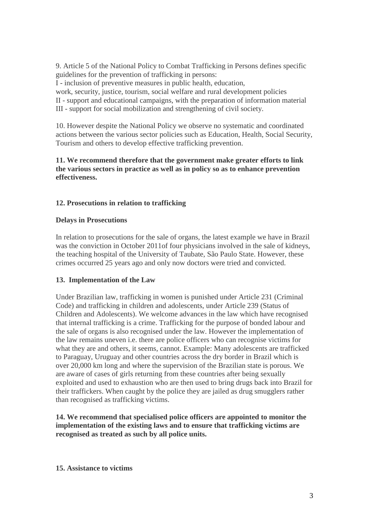9. Article 5 of the National Policy to Combat Trafficking in Persons defines specific guidelines for the prevention of trafficking in persons:

I - inclusion of preventive measures in public health, education,

work, security, justice, tourism, social welfare and rural development policies II - support and educational campaigns, with the preparation of information material III - support for social mobilization and strengthening of civil society.

10. However despite the National Policy we observe no systematic and coordinated actions between the various sector policies such as Education, Health, Social Security, Tourism and others to develop effective trafficking prevention.

## **11. We recommend therefore that the government make greater efforts to link the various sectors in practice as well as in policy so as to enhance prevention effectiveness.**

# **12. Prosecutions in relation to trafficking**

# **Delays in Prosecutions**

In relation to prosecutions for the sale of organs, the latest example we have in Brazil was the conviction in October 2011of four physicians involved in the sale of kidneys, the teaching hospital of the University of Taubate, São Paulo State. However, these crimes occurred 25 years ago and only now doctors were tried and convicted.

# **13. Implementation of the Law**

Under Brazilian law, trafficking in women is punished under Article 231 (Criminal Code) and trafficking in children and adolescents, under Article 239 (Status of Children and Adolescents). We welcome advances in the law which have recognised that internal trafficking is a crime. Trafficking for the purpose of bonded labour and the sale of organs is also recognised under the law. However the implementation of the law remains uneven i.e. there are police officers who can recognise victims for what they are and others, it seems, cannot. Example: Many adolescents are trafficked to Paraguay, Uruguay and other countries across the dry border in Brazil which is over 20,000 km long and where the supervision of the Brazilian state is porous. We are aware of cases of girls returning from these countries after being sexually exploited and used to exhaustion who are then used to bring drugs back into Brazil for their traffickers. When caught by the police they are jailed as drug smugglers rather than recognised as trafficking victims.

**14. We recommend that specialised police officers are appointed to monitor the implementation of the existing laws and to ensure that trafficking victims are recognised as treated as such by all police units.**